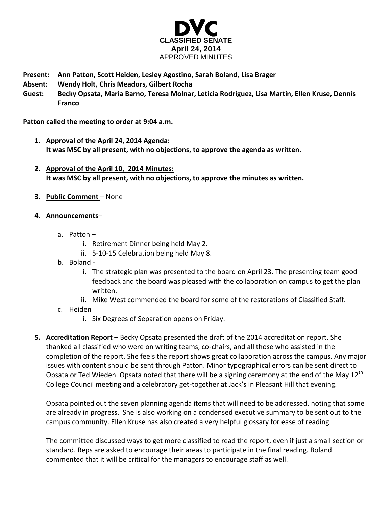

- **Present: Ann Patton, Scott Heiden, Lesley Agostino, Sarah Boland, Lisa Brager**
- **Absent: Wendy Holt, Chris Meadors, Gilbert Rocha**
- **Guest: Becky Opsata, Maria Barno, Teresa Molnar, Leticia Rodriguez, Lisa Martin, Ellen Kruse, Dennis Franco**

**Patton called the meeting to order at 9:04 a.m.**

- **1. Approval of the April 24, 2014 Agenda: It was MSC by all present, with no objections, to approve the agenda as written.**
- **2. Approval of the April 10, 2014 Minutes: It was MSC by all present, with no objections, to approve the minutes as written.**
- **3. Public Comment** None
- **4. Announcements**
	- a. Patton
		- i. Retirement Dinner being held May 2.
		- ii. 5-10-15 Celebration being held May 8.
	- b. Boland
		- i. The strategic plan was presented to the board on April 23. The presenting team good feedback and the board was pleased with the collaboration on campus to get the plan written.
		- ii. Mike West commended the board for some of the restorations of Classified Staff.
	- c. Heiden
		- i. Six Degrees of Separation opens on Friday.
- **5. Accreditation Report** Becky Opsata presented the draft of the 2014 accreditation report. She thanked all classified who were on writing teams, co-chairs, and all those who assisted in the completion of the report. She feels the report shows great collaboration across the campus. Any major issues with content should be sent through Patton. Minor typographical errors can be sent direct to Opsata or Ted Wieden. Opsata noted that there will be a signing ceremony at the end of the May 12<sup>th</sup> College Council meeting and a celebratory get-together at Jack's in Pleasant Hill that evening.

Opsata pointed out the seven planning agenda items that will need to be addressed, noting that some are already in progress. She is also working on a condensed executive summary to be sent out to the campus community. Ellen Kruse has also created a very helpful glossary for ease of reading.

The committee discussed ways to get more classified to read the report, even if just a small section or standard. Reps are asked to encourage their areas to participate in the final reading. Boland commented that it will be critical for the managers to encourage staff as well.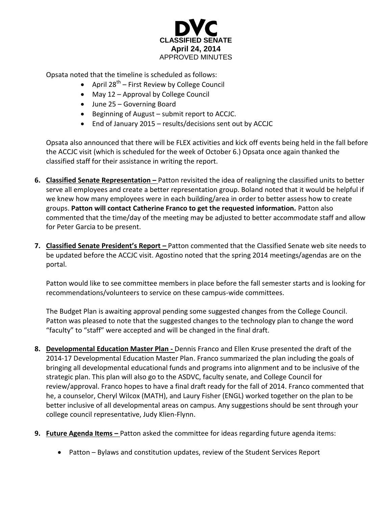

Opsata noted that the timeline is scheduled as follows:

- April 28<sup>th</sup> First Review by College Council
- May 12 Approval by College Council
- June 25 Governing Board
- Beginning of August submit report to ACCJC.
- End of January 2015 results/decisions sent out by ACCJC

Opsata also announced that there will be FLEX activities and kick off events being held in the fall before the ACCJC visit (which is scheduled for the week of October 6.) Opsata once again thanked the classified staff for their assistance in writing the report.

- **6. Classified Senate Representation –** Patton revisited the idea of realigning the classified units to better serve all employees and create a better representation group. Boland noted that it would be helpful if we knew how many employees were in each building/area in order to better assess how to create groups. **Patton will contact Catherine Franco to get the requested information.** Patton also commented that the time/day of the meeting may be adjusted to better accommodate staff and allow for Peter Garcia to be present.
- **7. Classified Senate President's Report –** Patton commented that the Classified Senate web site needs to be updated before the ACCJC visit. Agostino noted that the spring 2014 meetings/agendas are on the portal.

Patton would like to see committee members in place before the fall semester starts and is looking for recommendations/volunteers to service on these campus-wide committees.

The Budget Plan is awaiting approval pending some suggested changes from the College Council. Patton was pleased to note that the suggested changes to the technology plan to change the word "faculty" to "staff" were accepted and will be changed in the final draft.

- **8. Developmental Education Master Plan -** Dennis Franco and Ellen Kruse presented the draft of the 2014-17 Developmental Education Master Plan. Franco summarized the plan including the goals of bringing all developmental educational funds and programs into alignment and to be inclusive of the strategic plan. This plan will also go to the ASDVC, faculty senate, and College Council for review/approval. Franco hopes to have a final draft ready for the fall of 2014. Franco commented that he, a counselor, Cheryl Wilcox (MATH), and Laury Fisher (ENGL) worked together on the plan to be better inclusive of all developmental areas on campus. Any suggestions should be sent through your college council representative, Judy Klien-Flynn.
- **9. Future Agenda Items –** Patton asked the committee for ideas regarding future agenda items:
	- Patton Bylaws and constitution updates, review of the Student Services Report